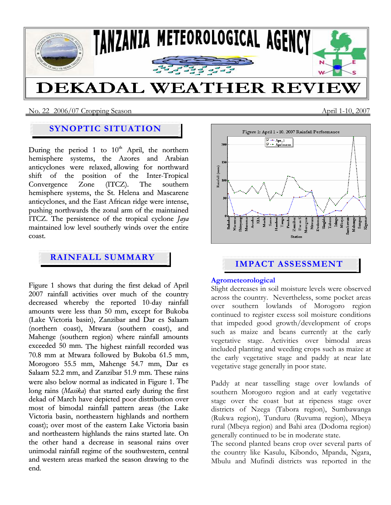

No. 22 2006/07 Cropping SeasonApril 1-10, 2007

# **SYNOPTIC SITUATION**

During the period 1 to  $10<sup>th</sup>$  April, the northern hemisphere systems, the Azores and Arabian anticyclones were relaxed, allowing for northward shift of the position of the Inter-Tropical Convergence Zone (ITCZ). The southern hemisphere systems, the St. Helena and Mascarene anticyclones, and the East African ridge were intense, pushing northwards the zonal arm of the maintained ITCZ. The persistence of the tropical cyclone *Jaya* maintained low level southerly winds over the entire coast.

# **RAINFALL SUMMARY**

Figure 1 shows that during the first dekad of April 2007 rainfall activities over much of the country decreased whereby the reported 10-day rainfall amounts were less than 50 mm, except for Bukoba (Lake Victoria basin), Zanzibar and Dar es Salaam (northern coast), Mtwara (southern coast), and Mahenge (southern region) where rainfall amounts exceeded 50 mm. The highest rainfall recorded was 70.8 mm at Mtwara followed by Bukoba 61.5 mm, Morogoro 55.5 mm, Mahenge 54.7 mm, Dar es Salaam 52.2 mm, and Zanzibar 51.9 mm. These rains were also below normal as indicated in Figure 1. The long rains (*Masika*) that started early during the first dekad of March have depicted poor distribution over most of bimodal rainfall pattern areas (the Lake Victoria basin, northeastern highlands and northern coast); over most of the eastern Lake Victoria basin and northeastern highlands the rains started late. On the other hand a decrease in seasonal rains over unimodal rainfall regime of the southwestern, central and western areas marked the season drawing to the end.



# **IMPACT ASSESSMENT**

#### **Agrometeorological**

Slight decreases in soil moisture levels were observed across the country. Nevertheless, some pocket areas over southern lowlands of Morogoro region continued to register excess soil moisture conditions that impeded good growth/development of crops such as maize and beans currently at the early vegetative stage. Activities over bimodal areas included planting and weeding crops such as maize at the early vegetative stage and paddy at near late vegetative stage generally in poor state.

Paddy at near tasselling stage over lowlands of southern Morogoro region and at early vegetative stage over the coast but at ripeness stage over districts of Nzega (Tabora region), Sumbawanga (Rukwa region), Tunduru (Ruvuma region), Mbeya rural (Mbeya region) and Bahi area (Dodoma region) generally continued to be in moderate state.

The second planted beans crop over several parts of the country like Kasulu, Kibondo, Mpanda, Ngara, Mbulu and Mufindi districts was reported in the